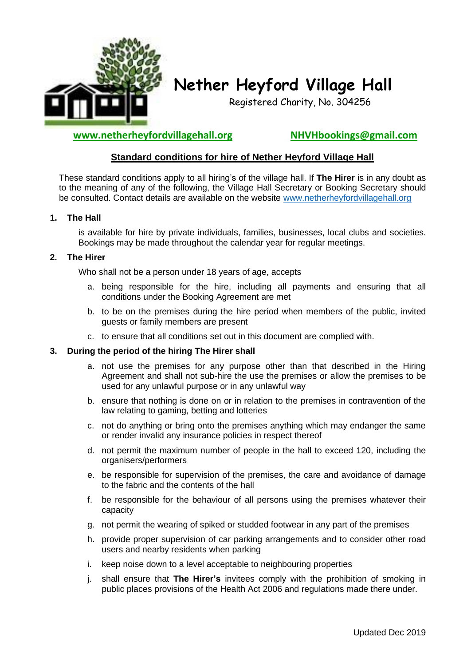

# **Nether Heyford Village Hall**

Registered Charity, No. 304256

**www.netherheyfordvillagehall.org NHVHbookings@gmail.com**

# **Standard conditions for hire of Nether Heyford Village Hall**

These standard conditions apply to all hiring's of the village hall. If **The Hirer** is in any doubt as to the meaning of any of the following, the Village Hall Secretary or Booking Secretary should be consulted. Contact details are available on the website [www.netherheyfordvillagehall.org](http://www.netherheyfordvillagehall.org/)

# **1. The Hall**

is available for hire by private individuals, families, businesses, local clubs and societies. Bookings may be made throughout the calendar year for regular meetings.

# **2. The Hirer**

Who shall not be a person under 18 years of age, accepts

- a. being responsible for the hire, including all payments and ensuring that all conditions under the Booking Agreement are met
- b. to be on the premises during the hire period when members of the public, invited guests or family members are present
- c. to ensure that all conditions set out in this document are complied with.

# **3. During the period of the hiring The Hirer shall**

- a. not use the premises for any purpose other than that described in the Hiring Agreement and shall not sub-hire the use the premises or allow the premises to be used for any unlawful purpose or in any unlawful way
- b. ensure that nothing is done on or in relation to the premises in contravention of the law relating to gaming, betting and lotteries
- c. not do anything or bring onto the premises anything which may endanger the same or render invalid any insurance policies in respect thereof
- d. not permit the maximum number of people in the hall to exceed 120, including the organisers/performers
- e. be responsible for supervision of the premises, the care and avoidance of damage to the fabric and the contents of the hall
- f. be responsible for the behaviour of all persons using the premises whatever their capacity
- g. not permit the wearing of spiked or studded footwear in any part of the premises
- h. provide proper supervision of car parking arrangements and to consider other road users and nearby residents when parking
- i. keep noise down to a level acceptable to neighbouring properties
- j. shall ensure that **The Hirer's** invitees comply with the prohibition of smoking in public places provisions of the Health Act 2006 and regulations made there under.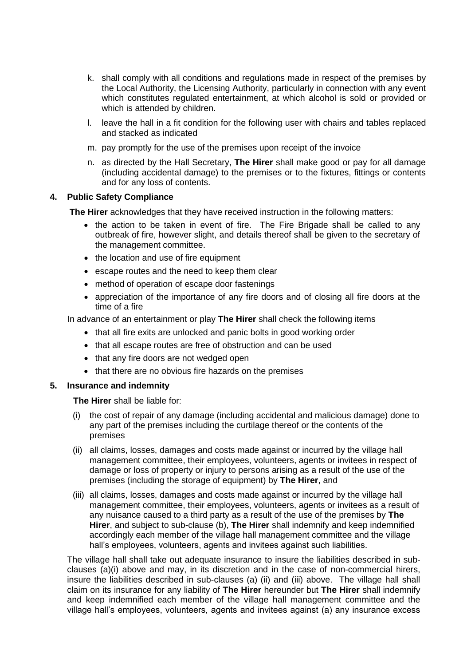- k. shall comply with all conditions and regulations made in respect of the premises by the Local Authority, the Licensing Authority, particularly in connection with any event which constitutes regulated entertainment, at which alcohol is sold or provided or which is attended by children.
- l. leave the hall in a fit condition for the following user with chairs and tables replaced and stacked as indicated
- m. pay promptly for the use of the premises upon receipt of the invoice
- n. as directed by the Hall Secretary, **The Hirer** shall make good or pay for all damage (including accidental damage) to the premises or to the fixtures, fittings or contents and for any loss of contents.

## **4. Public Safety Compliance**

**The Hirer** acknowledges that they have received instruction in the following matters:

- the action to be taken in event of fire. The Fire Brigade shall be called to any outbreak of fire, however slight, and details thereof shall be given to the secretary of the management committee.
- the location and use of fire equipment
- escape routes and the need to keep them clear
- method of operation of escape door fastenings
- appreciation of the importance of any fire doors and of closing all fire doors at the time of a fire

In advance of an entertainment or play **The Hirer** shall check the following items

- that all fire exits are unlocked and panic bolts in good working order
- that all escape routes are free of obstruction and can be used
- that any fire doors are not wedged open
- that there are no obvious fire hazards on the premises

# **5. Insurance and indemnity**

**The Hirer** shall be liable for:

- (i) the cost of repair of any damage (including accidental and malicious damage) done to any part of the premises including the curtilage thereof or the contents of the premises
- (ii) all claims, losses, damages and costs made against or incurred by the village hall management committee, their employees, volunteers, agents or invitees in respect of damage or loss of property or injury to persons arising as a result of the use of the premises (including the storage of equipment) by **The Hirer**, and
- (iii) all claims, losses, damages and costs made against or incurred by the village hall management committee, their employees, volunteers, agents or invitees as a result of any nuisance caused to a third party as a result of the use of the premises by **The Hirer**, and subject to sub-clause (b), **The Hirer** shall indemnify and keep indemnified accordingly each member of the village hall management committee and the village hall's employees, volunteers, agents and invitees against such liabilities.

The village hall shall take out adequate insurance to insure the liabilities described in subclauses (a)(i) above and may, in its discretion and in the case of non-commercial hirers, insure the liabilities described in sub-clauses (a) (ii) and (iii) above. The village hall shall claim on its insurance for any liability of **The Hirer** hereunder but **The Hirer** shall indemnify and keep indemnified each member of the village hall management committee and the village hall's employees, volunteers, agents and invitees against (a) any insurance excess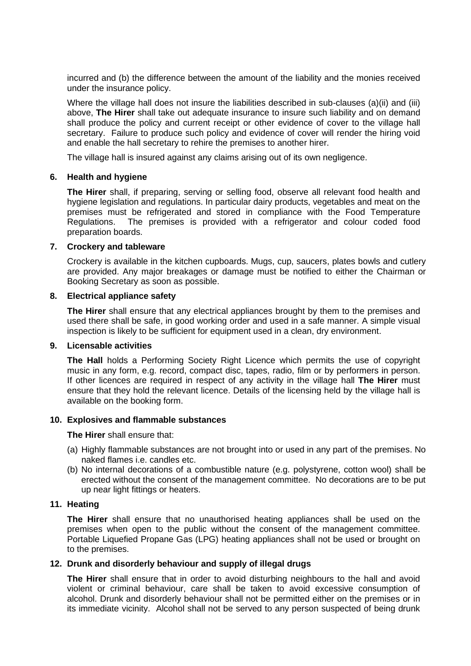incurred and (b) the difference between the amount of the liability and the monies received under the insurance policy.

Where the village hall does not insure the liabilities described in sub-clauses (a)(ii) and (iii) above, **The Hirer** shall take out adequate insurance to insure such liability and on demand shall produce the policy and current receipt or other evidence of cover to the village hall secretary. Failure to produce such policy and evidence of cover will render the hiring void and enable the hall secretary to rehire the premises to another hirer.

The village hall is insured against any claims arising out of its own negligence.

## **6. Health and hygiene**

**The Hirer** shall, if preparing, serving or selling food, observe all relevant food health and hygiene legislation and regulations. In particular dairy products, vegetables and meat on the premises must be refrigerated and stored in compliance with the Food Temperature Regulations. The premises is provided with a refrigerator and colour coded food preparation boards.

## **7. Crockery and tableware**

Crockery is available in the kitchen cupboards. Mugs, cup, saucers, plates bowls and cutlery are provided. Any major breakages or damage must be notified to either the Chairman or Booking Secretary as soon as possible.

## **8. Electrical appliance safety**

**The Hirer** shall ensure that any electrical appliances brought by them to the premises and used there shall be safe, in good working order and used in a safe manner. A simple visual inspection is likely to be sufficient for equipment used in a clean, dry environment.

## **9. Licensable activities**

**The Hall** holds a Performing Society Right Licence which permits the use of copyright music in any form, e.g. record, compact disc, tapes, radio, film or by performers in person. If other licences are required in respect of any activity in the village hall **The Hirer** must ensure that they hold the relevant licence. Details of the licensing held by the village hall is available on the booking form.

# **10. Explosives and flammable substances**

**The Hirer** shall ensure that:

- (a) Highly flammable substances are not brought into or used in any part of the premises. No naked flames i.e. candles etc.
- (b) No internal decorations of a combustible nature (e.g. polystyrene, cotton wool) shall be erected without the consent of the management committee. No decorations are to be put up near light fittings or heaters.

# **11. Heating**

**The Hirer** shall ensure that no unauthorised heating appliances shall be used on the premises when open to the public without the consent of the management committee. Portable Liquefied Propane Gas (LPG) heating appliances shall not be used or brought on to the premises.

# **12. Drunk and disorderly behaviour and supply of illegal drugs**

**The Hirer** shall ensure that in order to avoid disturbing neighbours to the hall and avoid violent or criminal behaviour, care shall be taken to avoid excessive consumption of alcohol. Drunk and disorderly behaviour shall not be permitted either on the premises or in its immediate vicinity. Alcohol shall not be served to any person suspected of being drunk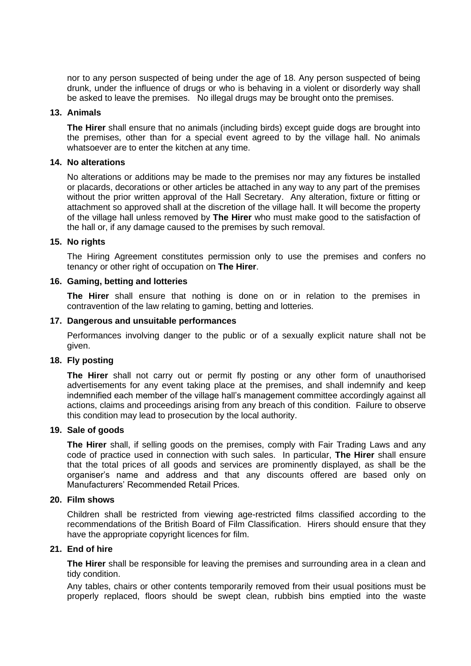nor to any person suspected of being under the age of 18. Any person suspected of being drunk, under the influence of drugs or who is behaving in a violent or disorderly way shall be asked to leave the premises. No illegal drugs may be brought onto the premises.

## **13. Animals**

**The Hirer** shall ensure that no animals (including birds) except guide dogs are brought into the premises, other than for a special event agreed to by the village hall. No animals whatsoever are to enter the kitchen at any time.

#### **14. No alterations**

No alterations or additions may be made to the premises nor may any fixtures be installed or placards, decorations or other articles be attached in any way to any part of the premises without the prior written approval of the Hall Secretary. Any alteration, fixture or fitting or attachment so approved shall at the discretion of the village hall. It will become the property of the village hall unless removed by **The Hirer** who must make good to the satisfaction of the hall or, if any damage caused to the premises by such removal.

## **15. No rights**

The Hiring Agreement constitutes permission only to use the premises and confers no tenancy or other right of occupation on **The Hirer**.

## **16. Gaming, betting and lotteries**

**The Hirer** shall ensure that nothing is done on or in relation to the premises in contravention of the law relating to gaming, betting and lotteries.

## **17. Dangerous and unsuitable performances**

Performances involving danger to the public or of a sexually explicit nature shall not be given.

# **18. Fly posting**

**The Hirer** shall not carry out or permit fly posting or any other form of unauthorised advertisements for any event taking place at the premises, and shall indemnify and keep indemnified each member of the village hall's management committee accordingly against all actions, claims and proceedings arising from any breach of this condition. Failure to observe this condition may lead to prosecution by the local authority.

## **19. Sale of goods**

**The Hirer** shall, if selling goods on the premises, comply with Fair Trading Laws and any code of practice used in connection with such sales. In particular, **The Hirer** shall ensure that the total prices of all goods and services are prominently displayed, as shall be the organiser's name and address and that any discounts offered are based only on Manufacturers' Recommended Retail Prices.

## **20. Film shows**

Children shall be restricted from viewing age-restricted films classified according to the recommendations of the British Board of Film Classification. Hirers should ensure that they have the appropriate copyright licences for film.

# **21. End of hire**

**The Hirer** shall be responsible for leaving the premises and surrounding area in a clean and tidy condition.

Any tables, chairs or other contents temporarily removed from their usual positions must be properly replaced, floors should be swept clean, rubbish bins emptied into the waste